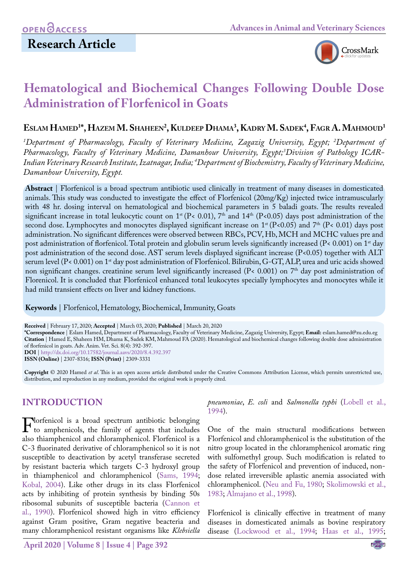

# **Hematological and Biochemical Changes Following Double Dose Administration of Florfenicol in Goats**

## **Eslam Hamed1 \*, Hazem M. Shaheen2 , Kuldeep Dhama3 , Kadry M. Sadek4 , Fagr A. Mahmoud1**

*1 Department of Pharmacology, Faculty of Veterinary Medicine, Zagazig University, Egypt; 2 Department of Pharmacology, Faculty of Veterinary Medicine, Damanhour University, Egypt;3 Division of Pathology ICAR-Indian Veterinary Research Institute, Izatnagar, India; 4 Department of Biochemistry, Faculty of Veterinary Medicine, Damanhour University, Egypt.*

**Abstract** | Florfenicol is a broad spectrum antibiotic used clinically in treatment of many diseases in domesticated animals. This study was conducted to investigate the effect of Florfenicol (20mg/Kg) injected twice intramuscularly with 48 hr. dosing interval on hematological and biochemical parameters in 5 baladi goats. The results revealed significant increase in total leukocytic count on  $1^{st}$  (P< 0.01),  $7^{th}$  and  $14^{th}$  (P<0.05) days post administration of the second dose. Lymphocytes and monocytes displayed significant increase on  $1^{st}$  (P<0.05) and 7<sup>th</sup> (P<0.01) days post administration. No significant differences were observed between RBCs, PCV, Hb, MCH and MCHC values pre and post administration of florfenicol. Total protein and globulin serum levels significantly increased (P< 0.001) on 1st day post administration of the second dose. AST serum levels displayed significant increase  $(P<0.05)$  together with ALT serum level (P< 0.001) on 1<sup>st</sup> day post administration of Florfenicol. Bilirubin, G-GT, ALP, urea and uric acids showed non significant changes. creatinine serum level significantly increased (P< 0.001) on 7<sup>th</sup> day post administration of Florenicol. It is concluded that Florfenicol enhanced total leukocytes specially lymphocytes and monocytes while it had mild transient effects on liver and kidney functions.

**Keywords** | Florfenicol, Hematology, Biochemical, Immunity, Goats

**Received** | February 17, 2020; **Accepted** | March 03, 2020; **Published** | March 20, 2020

**\*Correspondence** | Eslam Hamed, Department of Pharmacology, Faculty of Veterinary Medicine, Zagazig University, Egypt; **Email:** eslam.hamed@zu.edu.eg **Citation** | Hamed E, Shaheen HM, Dhama K, Sadek KM, Mahmoud FA (2020). Hematological and biochemical changes following double dose administration of florfenicol in goats. Adv. Anim. Vet. Sci. 8(4): 392-397. **DOI** | <http://dx.doi.org/10.17582/journal.aavs/2020/8.4.392.397>

**ISSN (Online)** | 2307-8316; **ISSN (Print)** | 2309-3331

**Copyright** © 2020 Hamed *et al*. This is an open access article distributed under the Creative Commons Attribution License, which permits unrestricted use, distribution, and reproduction in any medium, provided the original work is properly cited.

### **INTRODUCTION**

Flortenicol is a broad spectrum antibiotic belonging<br>to amphenicols, the family of agents that includes<br>also thiamphenicol and chloramphenicol Florfenicol is a also thiamphenicol and chloramphenicol. Florfenicol is a C-3 fluorinated derivative of chloramphenicol so it is not susceptible to deactivation by acetyl transferase secreted by resistant bacteria which targets C-3 hydroxyl group in thiamphenicol and chloramphenicol [\(Sams, 1994;](#page-5-0) [Kobal, 2004\)](#page-4-0). Like other drugs in its class Florfenicol acts by inhibiting of protein synthesis by binding 50s ribosomal subunits of susceptible bacteria [\(Cannon et](#page-4-1) [al., 1990](#page-4-1)). Florfenicol showed high in vitro efficiency against Gram positive, Gram negative beacteria and many chloramphenicol resistant organisms like *Klebsiella* 

*pneumoniae*, *E. coli* and *Salmonella typhi* ([Lobell et al.,](#page-5-1) [1994\)](#page-5-1).

One of the main structural modifications between Florfenicol and chloramphenicol is the substitution of the nitro group located in the chloramphenicol aromatic ring with sulfomethyl group. Such modification is related to the safety of Florfenicol and prevention of induced, nondose related irreversible aplastic anemia associated with chloramphenicol. ([Neu and Fu, 1980](#page-5-2); [Skolimowski et al.,](#page-5-3) [1983;](#page-5-3) [Almajano et al., 1998](#page-4-2)).

Florfenicol is clinically effective in treatment of many diseases in domesticated animals as bovine respiratory disease ([Lockwood et al., 1994](#page-5-4); [Haas et al., 1995;](#page-4-3)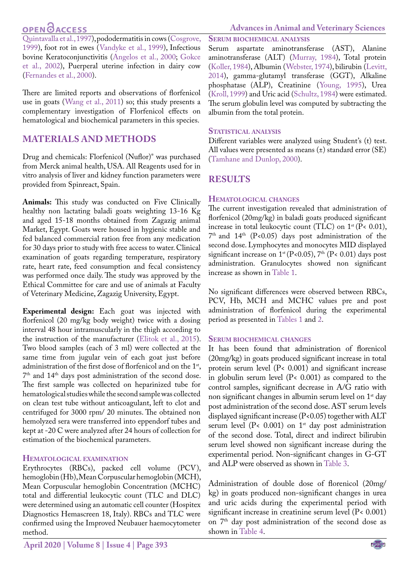## **OPEN GACCESS**

[Quintavalla et al., 1997\)](#page-5-5), pododermatitis in cows [\(Cosgrove,](#page-4-4) [1999](#page-4-4)), foot rot in ewes ([Vandyke et al., 1999](#page-5-6)), Infectious bovine Keratoconjunctivitis [\(Angelos et al., 2000;](#page-4-5) [Gokce](#page-4-6) [et al., 2002\)](#page-4-6), Puerperal uterine infection in dairy cow [\(Fernandes et al., 2000](#page-4-7)).

There are limited reports and observations of florfenicol use in goats ([Wang et al., 2011\)](#page-5-7) so; this study presents a complementary investigation of Florfenicol effects on hematological and biochemical parameters in this species.

### **MATERIALS AND METHODS**

Drug and chemicals: Florfenicol (Nuflor)® was purchased from Merck animal health, USA. All Reagents used for in vitro analysis of liver and kidney function parameters were provided from Spinreact, Spain.

**Animals:** This study was conducted on Five Clinically healthy non lactating baladi goats weighting 13-16 Kg and aged 15-18 months obtained from Zagazig animal Market, Egypt. Goats were housed in hygienic stable and fed balanced commercial ration free from any medication for 30 days prior to study with free access to water. Clinical examination of goats regarding temperature, respiratory rate, heart rate, feed consumption and fecal consistency was performed once daily. The study was approved by the Ethical Committee for care and use of animals at Faculty of Veterinary Medicine, Zagazig University, Egypt.

**Experimental design:** Each goat was injected with florfenicol (20 mg/kg body weight) twice with a dosing interval 48 hour intramuscularly in the thigh according to the instruction of the manufacturer [\(Elitok et al., 2015\)](#page-4-8). Two blood samples (each of 3 ml) were collected at the same time from jugular vein of each goat just before administration of the first dose of florfenicol and on the 1<sup>st</sup>, 7th and 14th days post administration of the second dose. The first sample was collected on heparinized tube for hematological studies while the second sample was collected on clean test tube without anticoagulant, left to clot and centrifuged for 3000 rpm/ 20 minutes. The obtained non hemolyzed sera were transferred into eppendorf tubes and kept at -20 C were analyzed after 24 hours of collection for estimation of the biochemical parameters.

### **Hematological examination**

Erythrocytes (RBCs), packed cell volume (PCV), hemoglobin (Hb), Mean Corpuscular hemoglobin (MCH), Mean Corpuscular hemoglobin Concentration (MCHC) total and differential leukocytic count (TLC and DLC) were determined using an automatic cell counter (Hospitex Diagnostics Hemascreen 18, Italy). RBCs and TLC were confirmed using the Improved Neubauer haemocytometer method.

### **Advances in Animal and Veterinary Sciences**

**Serum biochemical analysis**

Serum aspartate aminotransferase (AST), Alanine aminotransferase (ALT) [\(Murray, 1984\)](#page-5-8), Total protein [\(Koller, 1984\)](#page-4-9), Albumin ([Webster, 1974](#page-5-9)), bilirubin ([Levitt,](#page-5-10)  [2014\)](#page-5-10), gamma-glutamyl transferase (GGT), Alkaline phosphatase (ALP), Creatinine ([Young, 1995](#page-5-11)), Urea [\(Kroll, 1999](#page-5-12)) and Uric acid ([Schultz, 1984](#page-5-13)) were estimated. The serum globulin level was computed by subtracting the albumin from the total protein.

### **Statistical analysis**

Different variables were analyzed using Student's (t) test. All values were presented as means (±) standard error (SE) ([Tamhane and Dunlop, 2000](#page-5-14)).

### **RESULTS**

### **Hematological changes**

The current investigation revealed that administration of florfenicol (20mg/kg) in baladi goats produced significant increase in total leukocytic count (TLC) on  $1^{st}$  (P< 0.01),  $7<sup>th</sup>$  and  $14<sup>th</sup>$  (P<0.05) days post administration of the second dose. Lymphocytes and monocytes MID displayed significant increase on  $1^{st}$  (P<0.05), 7<sup>th</sup> (P<0.01) days post administration. Granulocytes showed non significant increase as shown in [Table 1](#page-2-0).

No significant differences were observed between RBCs, PCV, Hb, MCH and MCHC values pre and post administration of florfenicol during the experimental period as presented in [Tables 1](#page-2-0) and [2.](#page-2-1)

### **Serum biochemical changes**

It has been found that administration of florenicol (20mg/kg) in goats produced significant increase in total protein serum level (P< 0.001) and significant increase in globulin serum level (P< 0.001) as compared to the control samples, significant decrease in A/G ratio with non significant changes in albumin serum level on 1<sup>st</sup> day post administration of the second dose. AST serum levels displayed significant increase (P<0.05) together with ALT serum level ( $P$ < 0.001) on  $1$ <sup>st</sup> day post administration of the second dose. Total, direct and indirect bilirubin serum level showed non significant increase during the experimental period. Non-significant changes in G-GT and ALP were observed as shown in [Table 3](#page-2-2).

Administration of double dose of florenicol (20mg/ kg) in goats produced non-significant changes in urea and uric acids during the experimental period with significant increase in creatinine serum level (P< 0.001) on 7th day post administration of the second dose as shown in [Table 4.](#page-2-3)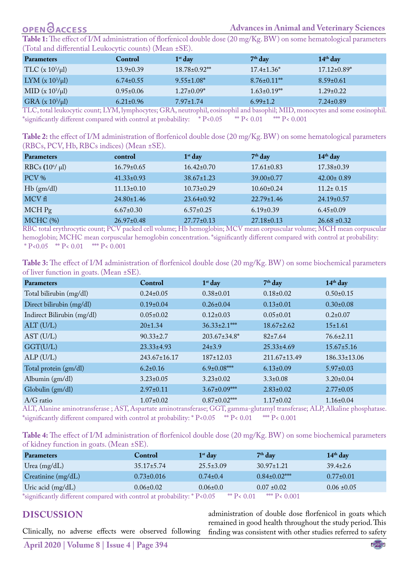## **OPEN GACCESS**

#### **Advances in Animal and Veterinary Sciences**

<span id="page-2-0"></span>**Table 1:** The effect of I/M administration of florfenicol double dose (20 mg/Kg. BW) on some hematological parameters (Total and differential Leukocytic counts) (Mean ±SE).

| <b>Parameters</b>      | Control         | $1st$ day         | $7th$ day          | $14th$ day         |
|------------------------|-----------------|-------------------|--------------------|--------------------|
| TLC $(x 10^3/\mu l)$   | $13.9 \pm 0.39$ | 18.78±0.92**      | $17.4 \pm 1.36^*$  | $17.12 \pm 0.89^*$ |
| LYM $(x 10^3/\mu l)$   | $6.74 \pm 0.55$ | $9.55 \pm 1.08^*$ | $8.76 \pm 0.11$ ** | $8.59 \pm 0.61$    |
| MID ( $x 10^3/\mu l$ ) | $0.95 \pm 0.06$ | $1.27 \pm 0.09^*$ | $1.63 \pm 0.19$ ** | $1.29 \pm 0.22$    |
| $GRA (x 10^3/\mu l)$   | $6.21 \pm 0.96$ | $7.97 \pm 1.74$   | $6.99 \pm 1.2$     | $7.24 \pm 0.89$    |

TLC, total leukocytic count; LYM, lymphocytes; GRA, neutrophil, eosinophil and basophil; MID, monocytes and some eosinophil. \*significantly different compared with control at probability: \* P<0.05 \*\* P< 0.01 \*\*\* P< 0.001

<span id="page-2-1"></span>**Table 2:** the effect of I/M administration of florfenicol double dose (20 mg/Kg. BW) on some hematological parameters (RBCs, PCV, Hb, RBCs indices) (Mean ±SE).

| <b>Parameters</b>   | control          | $1st$ day        | $7th$ day        | $14th$ day       |
|---------------------|------------------|------------------|------------------|------------------|
| RBCs $(10^6/\mu l)$ | $16.79 \pm 0.65$ | $16.42 \pm 0.70$ | $17.61 \pm 0.83$ | 17.38±0.39       |
| PCV %               | $41.33 \pm 0.93$ | $38.67 \pm 1.23$ | $39.00 \pm 0.77$ | $42.00 \pm 0.89$ |
| Hb(gm/dl)           | $11.13 \pm 0.10$ | $10.73 \pm 0.29$ | $10.60 \pm 0.24$ | $11.2 \pm 0.15$  |
| MCV fl              | $24.80 \pm 1.46$ | $23.64 \pm 0.92$ | $22.79 \pm 1.46$ | $24.19 \pm 0.57$ |
| $MCH$ Pg            | $6.67 \pm 0.30$  | $6.57 \pm 0.25$  | $6.19\pm0.39$    | $6.45 \pm 0.09$  |
| $MCHC$ (%)          | $26.97 \pm 0.48$ | $27.77 \pm 0.13$ | $27.18 \pm 0.13$ | $26.68 \pm 0.32$ |

RBC total erythrocytic count; PCV packed cell volume; Hb hemoglobin; MCV mean corpuscular volume; MCH mean corpuscular hemoglobin; MCHC mean corpuscular hemoglobin concentration. \*significantly different compared with control at probability: \* P<0.05 \*\* P<0.01 \*\* P<0.001

<span id="page-2-2"></span>**Table 3:** The effect of I/M administration of florfenicol double dose (20 mg/Kg. BW) on some biochemical parameters of liver function in goats. (Mean ±SE).

| <b>Parameters</b>          | Control            | $1st$ day           | $7th$ day          | 14 <sup>th</sup> day |
|----------------------------|--------------------|---------------------|--------------------|----------------------|
| Total bilirubin (mg/dl)    | $0.24 \pm 0.05$    | $0.38 \pm 0.01$     | $0.18\pm0.02$      | $0.50 \pm 0.15$      |
| Direct bilirubin (mg/dl)   | $0.19\pm0.04$      | $0.26 \pm 0.04$     | $0.13 \pm 0.01$    | $0.30\pm0.08$        |
| Indirect Bilirubin (mg/dl) | $0.05 \pm 0.02$    | $0.12 \pm 0.03$     | $0.05 \pm 0.01$    | $0.2 \pm 0.07$       |
| ALT (U/L)                  | $20 \pm 1.34$      | $36.33 \pm 2.1$ *** | $18.67 \pm 2.62$   | $15 \pm 1.61$        |
| AST (U/L)                  | $90.33 \pm 2.7$    | $203.67 \pm 34.8^*$ | $82 \pm 7.64$      | $76.6 \pm 2.11$      |
| GGT(U/L)                   | $23.33 \pm 4.93$   | $24\pm3.9$          | $25.33 \pm 4.69$   | $15.67 \pm 5.16$     |
| ALP(U/L)                   | $243.67 \pm 16.17$ | $187 \pm 12.03$     | $211.67 \pm 13.49$ | $186.33 \pm 13.06$   |
| Total protein (gm/dl)      | $6.2 \pm 0.16$     | $6.9 \pm 0.08$ ***  | $6.13 \pm 0.09$    | $5.97 \pm 0.03$      |
| Albumin (gm/dl)            | $3.23 \pm 0.05$    | $3.23 \pm 0.02$     | $3.3 \pm 0.08$     | $3.20 \pm 0.04$      |
| Globulin (gm/dl)           | $2.97 \pm 0.11$    | $3.67 \pm 0.09$ *** | $2.83 \pm 0.02$    | $2.77 \pm 0.05$      |
| $A/G$ ratio                | $1.07 \pm 0.02$    | $0.87 \pm 0.02$ **  | $1.17\pm0.02$      | $1.16\pm0.04$        |

ALT, Alanine aminotransferase ; AST, Aspartate aminotransferase; GGT, gamma-glutamyl transferase; ALP, Alkaline phosphatase. \*significantly different compared with control at probability: \* P<0.05 \*\* P< 0.01 \*\*\* P< 0.001

<span id="page-2-3"></span>**Table 4:** The effect of I/M administration of florfenicol double dose (20 mg/Kg. BW) on some biochemical parameters of kidney function in goats. (Mean ±SE).

| <b>Parameters</b>                                                         | <b>Control</b>   | $1st$ day       | $7th$ day           | $14th$ day      |
|---------------------------------------------------------------------------|------------------|-----------------|---------------------|-----------------|
| Urea $(mg/dL)$                                                            | $35.17 \pm 5.74$ | $25.5 \pm 3.09$ | $30.97 \pm 1.21$    | $39.4 \pm 2.6$  |
| Creatinine (mg/dL)                                                        | $0.73 \pm 0.016$ | $0.74 \pm 0.4$  | $0.84 \pm 0.02$ *** | $0.77 \pm 0.01$ |
| Uric acid $(mg/dL)$                                                       | $0.06 \pm 0.02$  | $0.06 \pm 0.0$  | $0.07 \pm 0.02$     | $0.06 \pm 0.05$ |
| *significantly different compared with control at probability: $P < 0.05$ |                  | ** $P < 0.01$   | *** $P < 0.001$     |                 |

\*significantly different compared with control at probability: \* P<0.05 \*\* P< 0.01 \*\*\* P< 0.001

### **Discussion**

Clinically, no adverse effects were observed following

administration of double dose florfenicol in goats which remained in good health throughout the study period. This finding was consistent with other studies referred to safety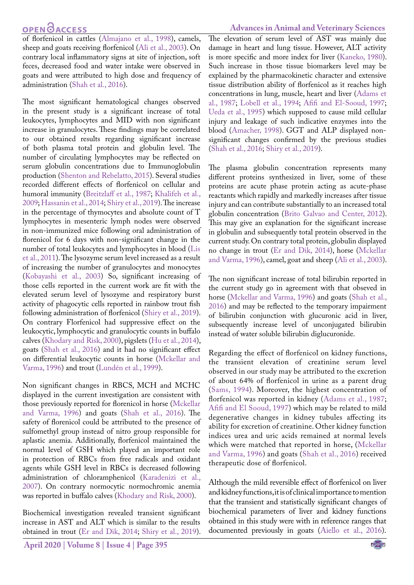## **OPEN**OACCESS

of florfenicol in cattles ([Almajano et al., 1998](#page-4-2)), camels, sheep and goats receiving florfenicol [\(Ali et al., 2003\)](#page-4-10). On contrary local inflammatory signs at site of injection, soft feces, decreased food and water intake were observed in goats and were attributed to high dose and frequency of administration ([Shah et al., 2016](#page-5-15)).

The most significant hematological changes observed in the present study is a significant increase of total leukocytes, lymphocytes and MID with non significant increase in granulocytes. These findings may be correlated to our obtained results regarding significant increase of both plasma total protein and globulin level. The number of circulating lymphocytes may be reflected on serum globulin concentrations due to Immunoglobulin production [\(Shenton and Rebelatto, 2015](#page-5-16)). Several studies recorded different effects of florfenicol on cellular and humoral immunity [\(Breitzlaff et al., 1987;](#page-4-11) [Khalifeh](#page-4-12) et al., [2009;](#page-4-12) Hassanin et al., 2014; [Shiry et al., 2019](#page-5-17)). The increase in the percentage of thymocytes and absolute count of T lymphocytes in mesenteric lymph nodes were observed in non-immunized mice following oral administration of florenicol for 6 days with non-significant change in the number of total leukocytes and lymphocytes in blood (Lis et al., 2011). The lysozyme serum level increased as a result of increasing the number of granulocytes and monocytes [\(Kobayashi et al., 2003\)](#page-4-13) So, significant increasing of those cells reported in the current work are fit with the elevated serum level of lysozyme and respiratory burst activity of phagocytic cells reported in rainbow trout fish following administration of florfenicol ([Shiry et al., 2019](#page-5-17)). On contrary Florfenicol had suppressive effect on the leukocytic, lymphocytic and granulocytic counts in buffalo calves [\(Khodary and Risk, 2000\)](#page-4-14), pigslets ([Hu et al., 2014](#page-4-15)), goats [\(Shah et al., 2016](#page-5-15)) and it had no significant effect on differential leukocytic counts in horse ([Mckellar and](#page-5-18) [Varma, 1996](#page-5-18)) and trout (Lundén et al., 1999).

Non significant changes in RBCS, MCH and MCHC displayed in the current investigation are consistent with those previously reported for florenicol in horse [\(Mckellar](#page-5-18) [and Varma, 1996](#page-5-18)) and goats [\(Shah et al., 2016](#page-5-15)). The safety of florenicol could be attributed to the presence of sulfomethyl group instead of nitro group responsible for aplastic anemia. Additionally, florfenicol maintained the normal level of GSH which played an important role in protection of RBCs from free radicals and oxidant agents while GSH level in RBCs is decreased following administration of chloramphenicol [\(Karadenizi et al.,](#page-4-16) [2007\)](#page-4-16). On contrary normocytic normochromic anemia was reported in buffalo calves [\(Khodary and Risk, 2000\)](#page-4-14).

Biochemical investigation revealed transient significant increase in AST and ALT which is similar to the results obtained in trout (Er and Dik, 2014; [Shiry et al., 2019](#page-5-17)).

#### **Advances in Animal and Veterinary Sciences**

The elevation of serum level of AST was mainly due damage in heart and lung tissue. However, ALT activity is more specific and more index for liver ([Kaneko, 1980](#page-4-17)). Such increase in those tissue biomarkers level may be explained by the pharmacokinetic character and extensive tissue distribution ability of florfenicol as it reaches high concentrations in lung, muscle, heart and liver ([Adams et](#page-4-18)  [al., 1987;](#page-4-18) [Lobell et al., 1994;](#page-5-1) [Afifi and El-Sooud, 1997](#page-4-19); [Ueda et al., 1995](#page-5-19)) which supposed to cause mild cellular injury and leakage of such indicative enzymes into the blood [\(Amacher, 1998\)](#page-4-20). GGT and ALP displayed nonsignificant changes confirmed by the previous studies ([Shah et al., 2016](#page-5-15); [Shiry et al., 2019\)](#page-5-17).

The plasma globulin concentration represents many different proteins synthesized in liver, some of these proteins are acute phase protein acting as acute-phase reactants which rapidly and markedly increases after tissue injury and can contribute substantially to an increased total globulin concentration ([Brito Galvao and Center, 2012](#page-4-21)). This may give an explanation for the significant increase in globulin and subsequently total protein observed in the current study. On contrary total protein, globulin displayed no change in trout (Er and Dik, 2014), horse [\(Mckellar](#page-5-18)  [and Varma, 1996\)](#page-5-18), camel, goat and sheep [\(Ali et al., 2003](#page-4-10)).

The non significant increase of total bilirubin reported in the current study go in agreement with that obseved in horse ([Mckellar and Varma, 1996](#page-5-18)) and goats ([Shah et al.,](#page-5-15)  [2016](#page-5-15)) and may be reflected to the temporary impairment of bilirubin conjunction with glucuronic acid in liver, subsequently increase level of unconjugated bilirubin instead of water soluble bilirubin diglucuronide.

Regarding the effect of florfenicol on kidney functions, the transient elevation of creatinine serum level observed in our study may be attributed to the excretion of about 64% of florfenicol in urine as a parent drug ([Sams, 1994](#page-5-0)). Moreover, the highest concentration of florfenicol was reported in kidney [\(Adams et al., 1987](#page-4-18); [Afifi and El Sooud, 1997](#page-4-19)) which may be related to mild degenerative changes in kidney tubules affecting its ability for excretion of creatinine. Other kidney function indices urea and uric acids remained at normal levels which were matched that reported in horse, [\(Mckellar](#page-5-18)  [and Varma, 1996\)](#page-5-18) and goats ([Shah et al., 2016\)](#page-5-15) received therapeutic dose of florfenicol.

Although the mild reversible effect of florfenicol on liver and kidney functions, it is of clinical importance to mention that the transient and statistically significant changes of biochemical parameters of liver and kidney functions obtained in this study were with in reference ranges that documented previously in goats ([Aiello et al., 2016](#page-4-22)).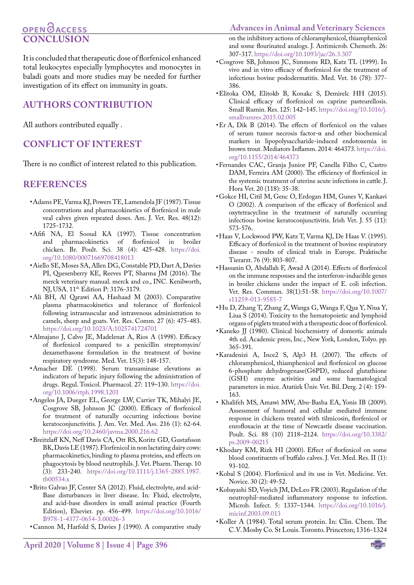#### **Advances in Animal and Veterinary Sciences**

## **OPEN**OACCESS **CONCLUSION**

It is concluded that therapeutic dose of florfenicol enhanced total leukocytes especially lymphocytes and monocytes in baladi goats and more studies may be needed for further investigation of its effect on immunity in goats.

## **AUTHORS CONTRIBUTION**

All authors contributed equally .

## **Conflict of interest**

There is no conflict of interest related to this publication.

### **REFERENCES**

- <span id="page-4-18"></span>• Adams PE, Varma KJ, Powers TE, Lamendola JF (1987). Tissue concentrations and pharmacokinetics of florfenicol in male veal calves given repeated doses. Am. J. Vet. Res. 48(12): 1725-1732.
- <span id="page-4-19"></span>• Afifi NA, El Sooud KA (1997). Tissue concentration and pharmacokinetics of florfenicol in broiler chicken. Br. Poult. Sci. 38 (4): 425-428. [https://doi.](https://doi.org/10.1080/00071669708418013) [org/10.1080/00071669708418013](https://doi.org/10.1080/00071669708418013)
- <span id="page-4-22"></span>• Aiello SE, Moses SA, Allen DG, Constable PD, Dart A, Davies PI, Quesenberry KE, Reeves PT, Sharma JM (2016). The merck veterinary manual. merck and co., INC. Kenilworth, NJ, USA. 11<sup>th</sup> Edition P: 3176-3179.
- <span id="page-4-10"></span>• Ali BH, Al Qarawi AA, Hashaad M (2003). Comparative plasma pharmacokinetics and tolerance of florfenicol following intramuscular and intravenous administration to camels, sheep and goats. Vet. Res. Comm. 27 (6): 475-483. <https://doi.org/10.1023/A:1025741724701>
- <span id="page-4-2"></span>• Almajano J, Calvo JE, Madelenat A, Rios A (1998). Efficacy of florfenicol compared to a penicillin streptomycin/ dexamethasone formulation in the treatment of bovine respiratory syndrome. Med. Vet. 15(3): 148-157.
- <span id="page-4-20"></span>• Amacher DE (1998). Serum transaminase elevations as indicators of hepatic injury following the administration of drugs. Regul. Toxicol. Pharmacol. 27: 119–130. [https://doi.](https://doi.org/10.1006/rtph.1998.1201) [org/10.1006/rtph.1998.1201](https://doi.org/10.1006/rtph.1998.1201)
- <span id="page-4-5"></span>• Angelos JA, Dueger EL, George LW, Carrier TK, Mihalyi JE, Cosgrove SB, Johnson JC (2000). Efficacy of florfenicol for treatment of naturally occurring infectious bovine keratoconjunctivitis. J. Am. Vet. Med. Ass. 216 (1): 62-64. <https://doi.org/10.2460/javma.2000.216.62>
- <span id="page-4-11"></span>• Breitzlaff KN, Neff Davis CA, Ott RS, Koritz GD, Gustafsson BK, Davis LE (1987). Florfenicol in non lactating dairy cows: pharmacokinetics, binding to plasma proteins, and effects on phagocytosis by blood neutrophils. J. Vet. Pharm. Therap. 10 (3): 233-240. [https://doi.org/10.1111/j.1365-2885.1987.](https://doi.org/10.1111/j.1365-2885.1987.tb00534.x) [tb00534.x](https://doi.org/10.1111/j.1365-2885.1987.tb00534.x)
- <span id="page-4-21"></span>• Brito Galvao JF, Center SA (2012). Fluid, electrolyte, and acid-Base disturbances in liver disease. In: Fluid, electrolyte, and acid-base disorders in small animal practice (Fourth Edition), Elsevier. pp. 456-499. [https://doi.org/10.1016/](https://doi.org/10.1016/B978-1-4377-0654-3.00026-3) [B978-1-4377-0654-3.00026-3](https://doi.org/10.1016/B978-1-4377-0654-3.00026-3)
- <span id="page-4-1"></span>• Cannon M, Harfold S, Davies J (1990). A comparative study

on the inhibitory actions of chloramphenicol, thiamphenicol and some flourinated analogs. J. Antimicrob. Chemoth. 26: 307-317. <https://doi.org/10.1093/jac/26.3.307>

- <span id="page-4-4"></span>• Cosgrove SB, Johnson JC, Simmons RD, Katz TL (1999). In vivo and in vitro efficacy of florfenicol for the treatment of infectious bovine pododermatitis. Med. Vet. 16 (78): 377- 386.
- <span id="page-4-8"></span>• Elitoka OM, Elitokb B, Konakc S, Demirelc HH (2015). Clinical efficacy of florfenicol on caprine pasteurellosis. Small Rumin. Res. 125: 142–145. [https://doi.org/10.1016/j.](https://doi.org/10.1016/j.smallrumres.2015.02.005) [smallrumres.2015.02.005](https://doi.org/10.1016/j.smallrumres.2015.02.005)
- Er A, Dik B (2014). The effects of florfenicol on the values of serum tumor necrosis factor-α and other biochemical markers in lipopolysaccharide-induced endotoxemia in brown trout. Mediators Inflamm. 2014: 464373. [https://doi.](https://doi.org/10.1155/2014/464373) [org/10.1155/2014/464373](https://doi.org/10.1155/2014/464373)
- <span id="page-4-7"></span>• Fernandes CAC, Granja Junior PF, Canella Filho C, Castro DAM, Ferreira AM (2000). The efficiency of florfenicol in the systemic treatment of uterine acute infections in cattle. J. Hora Vet. 20 (118): 35-38.
- <span id="page-4-6"></span>• Gokce HI, Citil M, Genc O, Erdogan HM, Gunes V, Kankavi O (2002). A comparison of the efficacy of florfenicol and oxytetracycline in the treatment of naturally occurring infectious bovine keratoconjunctivitis. Irish Vet. J. 55 (11): 573-576.
- <span id="page-4-3"></span>• Haas V, Lockwood PW, Katz T, Varma KJ, De Haas V. (1995). Efficacy of florfenicol in the treatment of bovine respiratory disease - results of clinical trials in Europe. Praktische Tierarzt. 76 (9): 803-807.
- • Hassanin O, Abdallah F, Awad A (2014). Effects of florfenicol on the immune responses and the interferon-inducible genes in broiler chickens under the impact of E. coli infection. Vet. Res. Commun. 38(1):51-58. [https://doi.org/10.1007/](https://doi.org/10.1007/s11259-013-9585-7) [s11259-013-9585-7](https://doi.org/10.1007/s11259-013-9585-7)
- <span id="page-4-15"></span>• Hu D, Zhang T, Zhang Z, Wanga G, Wanga F, Qua Y, Niua Y, Liua S (2014). Toxicity to the hematopoietic and lymphoid organs of piglets treated with a therapeutic dose of florfenicol.
- <span id="page-4-17"></span>• Kaneko JJ (1980). Clinical biochemistry of domestic animals 4th ed. Academic press, Inc., New York, London, Tolyo. pp. 365-391.
- <span id="page-4-16"></span>• Karadenizi A, Ince2 S, Alp3 H. (2007). The effects of chloramphenicol, thiamphenicol and florfenicol on glucose 6-phosphate dehydrogenase(G6PD), reduced glutathione (GSH) enzyme activities and some haematological parameters in mice. Atatürk Üniv. Vet. Bil. Derg. 2 (4): 159- 163.
- <span id="page-4-12"></span>• Khalifeh MS, Amawi MW, Abu-Basha EA, Yonis IB (2009). Assessment of humoral and cellular mediated immune response in chickens treated with tilmicosin, florfenicol or enrofloxacin at the time of Newcastle disease vaccination. Poult. Sci. 88 (10) 2118–2124. [https://doi.org/10.3382/](https://doi.org/10.3382/ps.2009-00215) [ps.2009-00215](https://doi.org/10.3382/ps.2009-00215)
- <span id="page-4-14"></span>• Khodary KM, Rizk HI (2000). Effect of florfenicol on some blood constituents of buffalo calves. J. Vet. Med. Res. II (1): 93-102.
- <span id="page-4-0"></span>• Kobal S (2004). Florfenicol and its use in Vet. Medicine. Vet. Novice. 30 (2): 49-52.
- <span id="page-4-13"></span>• Kobayashi SD, Voyich JM, DeLeo FR (2003). Regulation of the neutrophil-mediated inflammatory response to infection. Microb. Infect. 5: 1337–1344. [https://doi.org/10.1016/j.](https://doi.org/10.1016/j.micinf.2003.09.013) [micinf.2003.09.013](https://doi.org/10.1016/j.micinf.2003.09.013)
- <span id="page-4-9"></span>• Koller A (1984). Total serum protein. In: Clin. Chem. The C.V. Mosby Co. St Louis. Toronto. Princeton; 1316-1324